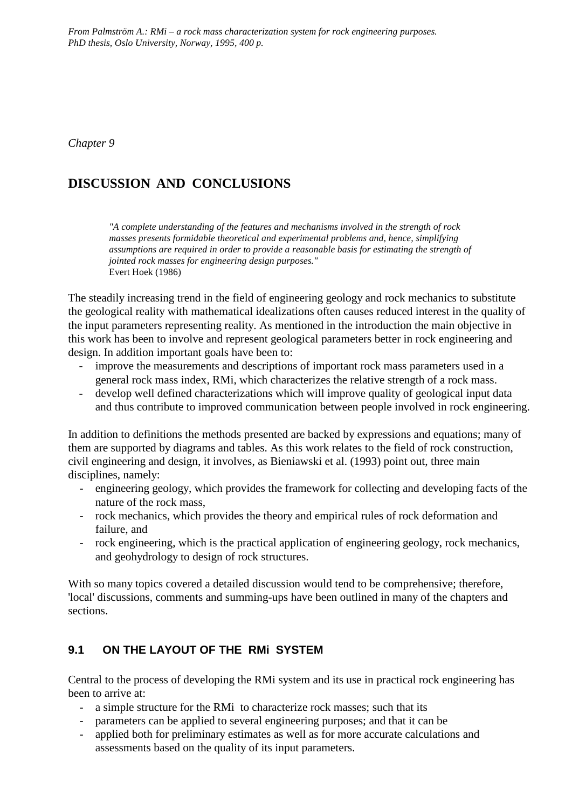*From Palmström A.: RMi – a rock mass characterization system for rock engineering purposes. PhD thesis, Oslo University, Norway, 1995, 400 p.*

*Chapter 9*

# **DISCUSSION AND CONCLUSIONS**

*"A complete understanding of the features and mechanisms involved in the strength of rock masses presents formidable theoretical and experimental problems and, hence, simplifying assumptions are required in order to provide a reasonable basis for estimating the strength of jointed rock masses for engineering design purposes."* Evert Hoek (1986)

The steadily increasing trend in the field of engineering geology and rock mechanics to substitute the geological reality with mathematical idealizations often causes reduced interest in the quality of the input parameters representing reality. As mentioned in the introduction the main objective in this work has been to involve and represent geological parameters better in rock engineering and design. In addition important goals have been to:

- improve the measurements and descriptions of important rock mass parameters used in a general rock mass index, RMi, which characterizes the relative strength of a rock mass.
- develop well defined characterizations which will improve quality of geological input data and thus contribute to improved communication between people involved in rock engineering.

In addition to definitions the methods presented are backed by expressions and equations; many of them are supported by diagrams and tables. As this work relates to the field of rock construction, civil engineering and design, it involves, as Bieniawski et al. (1993) point out, three main disciplines, namely:

- engineering geology, which provides the framework for collecting and developing facts of the nature of the rock mass,
- rock mechanics, which provides the theory and empirical rules of rock deformation and failure, and
- rock engineering, which is the practical application of engineering geology, rock mechanics, and geohydrology to design of rock structures.

With so many topics covered a detailed discussion would tend to be comprehensive; therefore, 'local' discussions, comments and summing-ups have been outlined in many of the chapters and sections.

### **9.1 ON THE LAYOUT OF THE RMi SYSTEM**

Central to the process of developing the RMi system and its use in practical rock engineering has been to arrive at:

- a simple structure for the RMi to characterize rock masses; such that its
- parameters can be applied to several engineering purposes; and that it can be
- applied both for preliminary estimates as well as for more accurate calculations and assessments based on the quality of its input parameters.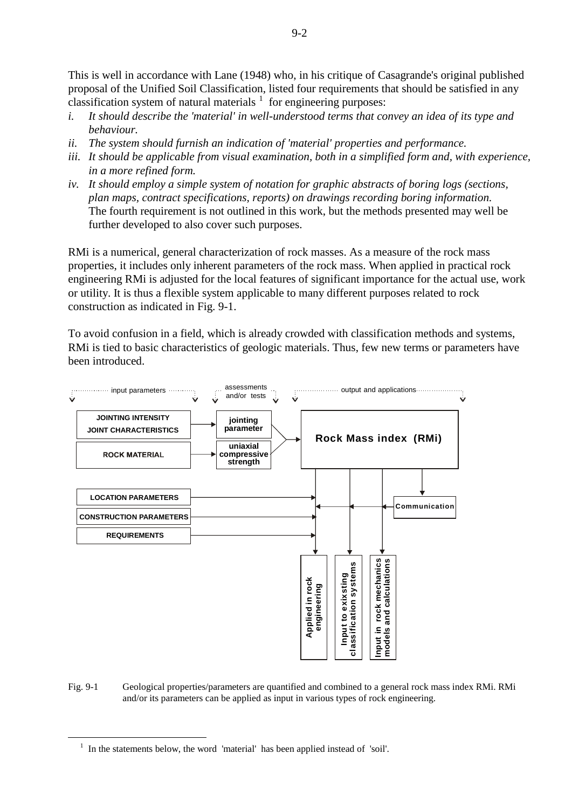This is well in accordance with Lane (1948) who, in his critique of Casagrande's original published proposal of the Unified Soil Classification, listed four requirements that should be satisfied in any classification system of natural materials  $1$  for engineering purposes:

- *i. It should describe the 'material' in well-understood terms that convey an idea of its type and behaviour.*
- *ii. The system should furnish an indication of 'material' properties and performance.*
- *iii. It should be applicable from visual examination, both in a simplified form and, with experience, in a more refined form.*
- *iv. It should employ a simple system of notation for graphic abstracts of boring logs (sections, plan maps, contract specifications, reports) on drawings recording boring information.* The fourth requirement is not outlined in this work, but the methods presented may well be further developed to also cover such purposes.

RMi is a numerical, general characterization of rock masses. As a measure of the rock mass properties, it includes only inherent parameters of the rock mass. When applied in practical rock engineering RMi is adjusted for the local features of significant importance for the actual use, work or utility. It is thus a flexible system applicable to many different purposes related to rock construction as indicated in Fig. 9-1.

To avoid confusion in a field, which is already crowded with classification methods and systems, RMi is tied to basic characteristics of geologic materials. Thus, few new terms or parameters have been introduced.



Fig. 9-1 Geological properties/parameters are quantified and combined to a general rock mass index RMi. RMi and/or its parameters can be applied as input in various types of rock engineering.

-

<span id="page-1-0"></span><sup>&</sup>lt;sup>1</sup> In the statements below, the word 'material' has been applied instead of 'soil'.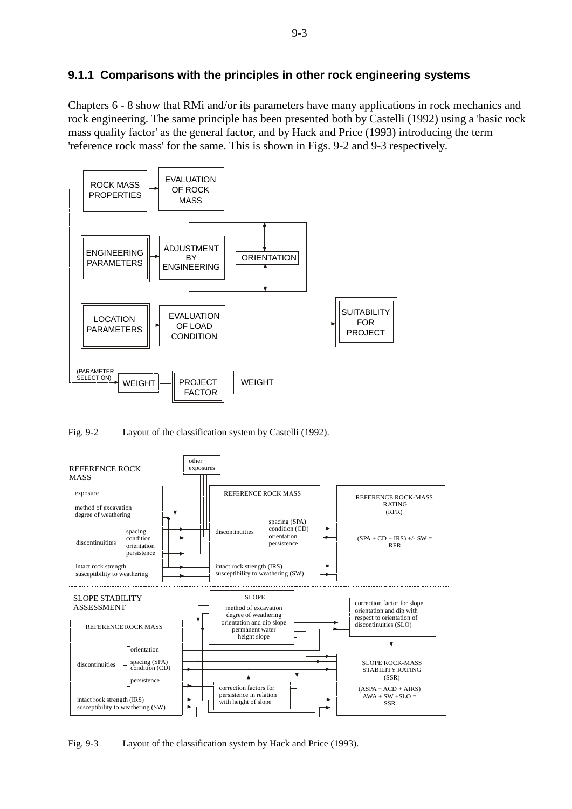### **9.1.1 Comparisons with the principles in other rock engineering systems**

Chapters 6 - 8 show that RMi and/or its parameters have many applications in rock mechanics and rock engineering. The same principle has been presented both by Castelli (1992) using a 'basic rock mass quality factor' as the general factor, and by Hack and Price (1993) introducing the term 'reference rock mass' for the same. This is shown in Figs. 9-2 and 9-3 respectively.



Fig. 9-2 Layout of the classification system by Castelli (1992).



Fig. 9-3 Layout of the classification system by Hack and Price (1993).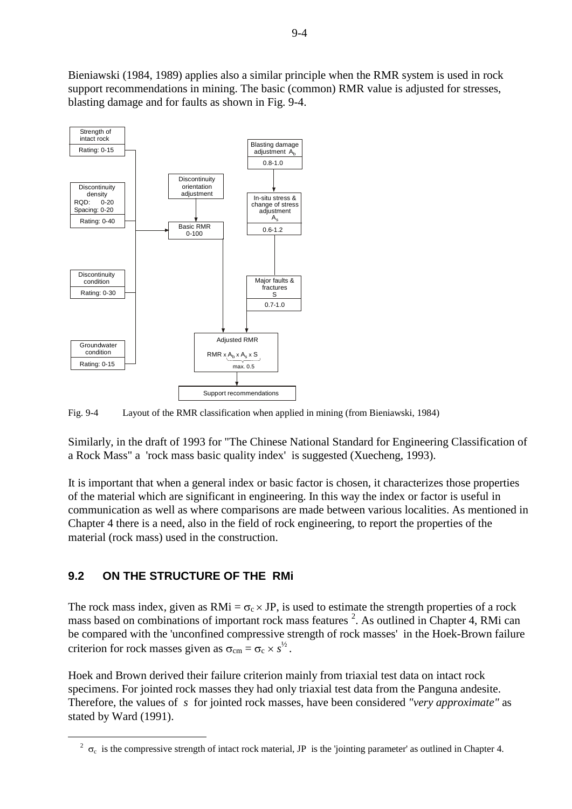Bieniawski (1984, 1989) applies also a similar principle when the RMR system is used in rock support recommendations in mining. The basic (common) RMR value is adjusted for stresses, blasting damage and for faults as shown in Fig. 9-4.



Fig. 9-4 Layout of the RMR classification when applied in mining (from Bieniawski, 1984)

Similarly, in the draft of 1993 for "The Chinese National Standard for Engineering Classification of a Rock Mass" a 'rock mass basic quality index' is suggested (Xuecheng, 1993).

It is important that when a general index or basic factor is chosen, it characterizes those properties of the material which are significant in engineering. In this way the index or factor is useful in communication as well as where comparisons are made between various localities. As mentioned in Chapter 4 there is a need, also in the field of rock engineering, to report the properties of the material (rock mass) used in the construction.

# **9.2 ON THE STRUCTURE OF THE RMi**

-

The rock mass index, given as  $RMi = \sigma_c \times JP$ , is used to estimate the strength properties of a rock mass based on combinations of important rock mass features<sup>[2](#page-3-0)</sup>. As outlined in Chapter 4, RMi can be compared with the 'unconfined compressive strength of rock masses' in the Hoek-Brown failure criterion for rock masses given as  $\sigma_{\rm cm} = \sigma_{\rm c} \times s^{1/2}$ .

Hoek and Brown derived their failure criterion mainly from triaxial test data on intact rock specimens. For jointed rock masses they had only triaxial test data from the Panguna andesite. Therefore, the values of *s* for jointed rock masses, have been considered *"very approximate"* as stated by Ward (1991).

<span id="page-3-0"></span><sup>&</sup>lt;sup>2</sup>  $\sigma_c$  is the compressive strength of intact rock material, JP is the 'jointing parameter' as outlined in Chapter 4.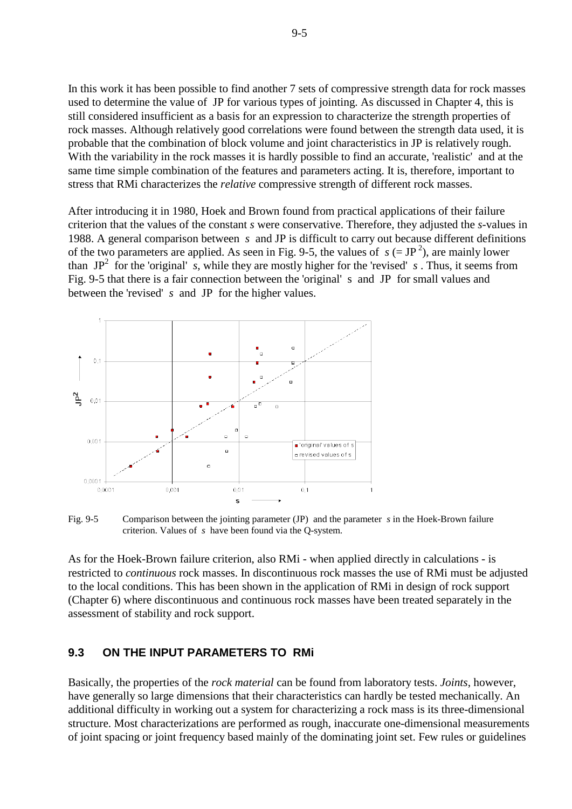In this work it has been possible to find another 7 sets of compressive strength data for rock masses used to determine the value of JP for various types of jointing. As discussed in Chapter 4, this is still considered insufficient as a basis for an expression to characterize the strength properties of rock masses. Although relatively good correlations were found between the strength data used, it is probable that the combination of block volume and joint characteristics in JP is relatively rough. With the variability in the rock masses it is hardly possible to find an accurate, 'realistic' and at the same time simple combination of the features and parameters acting. It is, therefore, important to stress that RMi characterizes the *relative* compressive strength of different rock masses.

After introducing it in 1980, Hoek and Brown found from practical applications of their failure criterion that the values of the constant *s* were conservative. Therefore, they adjusted the *s*-values in 1988. A general comparison between *s* and JP is difficult to carry out because different definitions of the two parameters are applied. As seen in Fig. 9-5, the values of  $s (= JP^2)$ , are mainly lower than  $JP^2$  for the 'original' *s*, while they are mostly higher for the 'revised' *s*. Thus, it seems from Fig. 9-5 that there is a fair connection between the 'original' s and JP for small values and between the 'revised' *s* and JP for the higher values.



Fig. 9-5 Comparison between the jointing parameter (JP) and the parameter *s* in the Hoek-Brown failure criterion. Values of *s* have been found via the Q-system.

As for the Hoek-Brown failure criterion, also RMi - when applied directly in calculations - is restricted to *continuous* rock masses. In discontinuous rock masses the use of RMi must be adjusted to the local conditions. This has been shown in the application of RMi in design of rock support (Chapter 6) where discontinuous and continuous rock masses have been treated separately in the assessment of stability and rock support.

#### **9.3 ON THE INPUT PARAMETERS TO RMi**

Basically, the properties of the *rock material* can be found from laboratory tests. *Joints*, however, have generally so large dimensions that their characteristics can hardly be tested mechanically. An additional difficulty in working out a system for characterizing a rock mass is its three-dimensional structure. Most characterizations are performed as rough, inaccurate one-dimensional measurements of joint spacing or joint frequency based mainly of the dominating joint set. Few rules or guidelines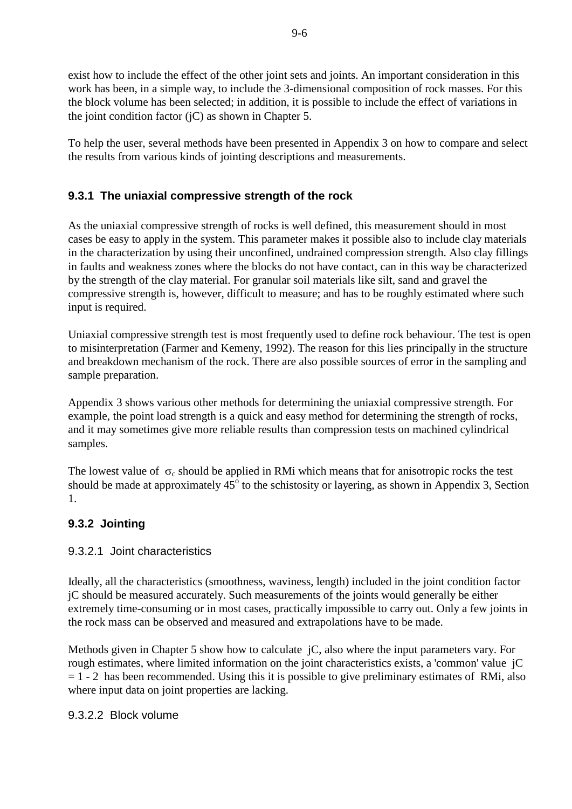exist how to include the effect of the other joint sets and joints. An important consideration in this work has been, in a simple way, to include the 3-dimensional composition of rock masses. For this the block volume has been selected; in addition, it is possible to include the effect of variations in the joint condition factor (jC) as shown in Chapter 5.

To help the user, several methods have been presented in Appendix 3 on how to compare and select the results from various kinds of jointing descriptions and measurements.

# **9.3.1 The uniaxial compressive strength of the rock**

As the uniaxial compressive strength of rocks is well defined, this measurement should in most cases be easy to apply in the system. This parameter makes it possible also to include clay materials in the characterization by using their unconfined, undrained compression strength. Also clay fillings in faults and weakness zones where the blocks do not have contact, can in this way be characterized by the strength of the clay material. For granular soil materials like silt, sand and gravel the compressive strength is, however, difficult to measure; and has to be roughly estimated where such input is required.

Uniaxial compressive strength test is most frequently used to define rock behaviour. The test is open to misinterpretation (Farmer and Kemeny, 1992). The reason for this lies principally in the structure and breakdown mechanism of the rock. There are also possible sources of error in the sampling and sample preparation.

Appendix 3 shows various other methods for determining the uniaxial compressive strength. For example, the point load strength is a quick and easy method for determining the strength of rocks, and it may sometimes give more reliable results than compression tests on machined cylindrical samples.

The lowest value of  $\sigma_c$  should be applied in RMi which means that for anisotropic rocks the test should be made at approximately  $45^{\circ}$  to the schistosity or layering, as shown in Appendix 3, Section 1.

### **9.3.2 Jointing**

#### 9.3.2.1 Joint characteristics

Ideally, all the characteristics (smoothness, waviness, length) included in the joint condition factor jC should be measured accurately. Such measurements of the joints would generally be either extremely time-consuming or in most cases, practically impossible to carry out. Only a few joints in the rock mass can be observed and measured and extrapolations have to be made.

Methods given in Chapter 5 show how to calculate jC, also where the input parameters vary. For rough estimates, where limited information on the joint characteristics exists, a 'common' value jC  $= 1 - 2$  has been recommended. Using this it is possible to give preliminary estimates of RMi, also where input data on joint properties are lacking.

#### 9.3.2.2 Block volume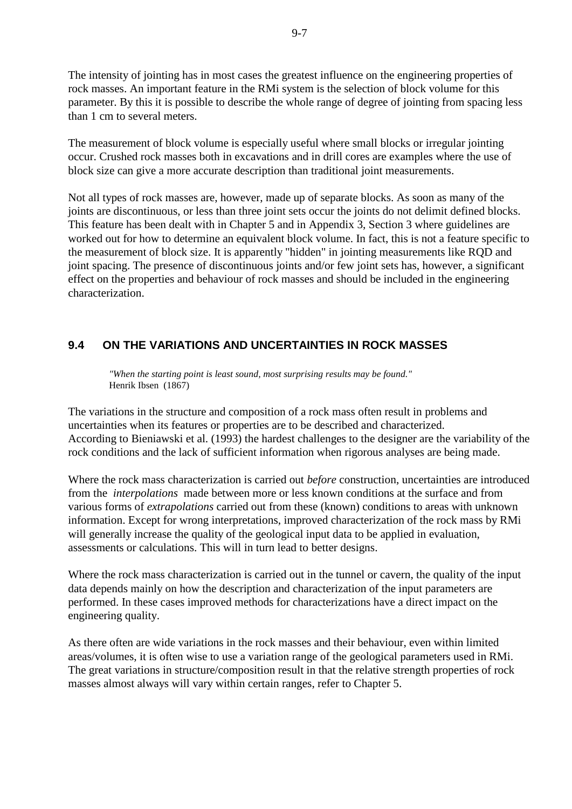The intensity of jointing has in most cases the greatest influence on the engineering properties of rock masses. An important feature in the RMi system is the selection of block volume for this parameter. By this it is possible to describe the whole range of degree of jointing from spacing less than 1 cm to several meters.

The measurement of block volume is especially useful where small blocks or irregular jointing occur. Crushed rock masses both in excavations and in drill cores are examples where the use of block size can give a more accurate description than traditional joint measurements.

Not all types of rock masses are, however, made up of separate blocks. As soon as many of the joints are discontinuous, or less than three joint sets occur the joints do not delimit defined blocks. This feature has been dealt with in Chapter 5 and in Appendix 3, Section 3 where guidelines are worked out for how to determine an equivalent block volume. In fact, this is not a feature specific to the measurement of block size. It is apparently "hidden" in jointing measurements like RQD and joint spacing. The presence of discontinuous joints and/or few joint sets has, however, a significant effect on the properties and behaviour of rock masses and should be included in the engineering characterization.

### **9.4 ON THE VARIATIONS AND UNCERTAINTIES IN ROCK MASSES**

*"When the starting point is least sound, most surprising results may be found."* Henrik Ibsen (1867)

The variations in the structure and composition of a rock mass often result in problems and uncertainties when its features or properties are to be described and characterized. According to Bieniawski et al. (1993) the hardest challenges to the designer are the variability of the rock conditions and the lack of sufficient information when rigorous analyses are being made.

Where the rock mass characterization is carried out *before* construction, uncertainties are introduced from the *interpolations* made between more or less known conditions at the surface and from various forms of *extrapolations* carried out from these (known) conditions to areas with unknown information. Except for wrong interpretations, improved characterization of the rock mass by RMi will generally increase the quality of the geological input data to be applied in evaluation, assessments or calculations. This will in turn lead to better designs.

Where the rock mass characterization is carried out in the tunnel or cavern, the quality of the input data depends mainly on how the description and characterization of the input parameters are performed. In these cases improved methods for characterizations have a direct impact on the engineering quality.

As there often are wide variations in the rock masses and their behaviour, even within limited areas/volumes, it is often wise to use a variation range of the geological parameters used in RMi. The great variations in structure/composition result in that the relative strength properties of rock masses almost always will vary within certain ranges, refer to Chapter 5.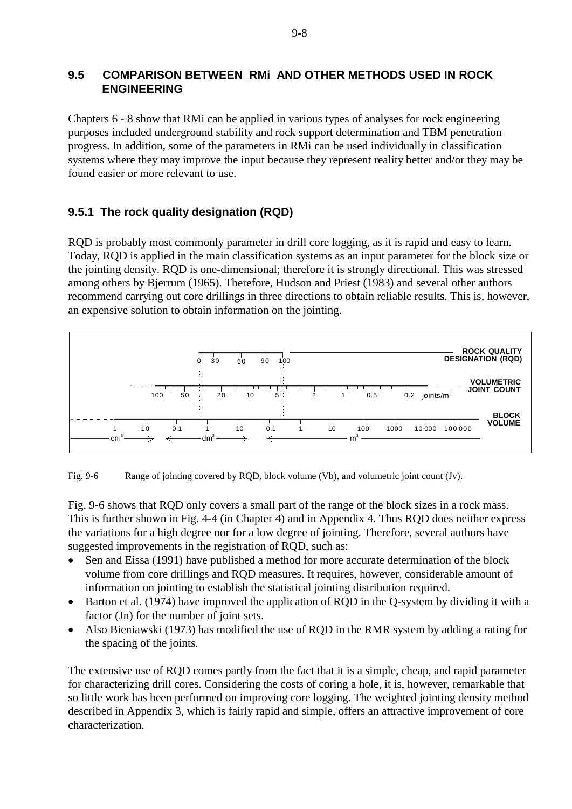### **9.5 COMPARISON BETWEEN RMi AND OTHER METHODS USED IN ROCK ENGINEERING**

Chapters 6 - 8 show that RMi can be applied in various types of analyses for rock engineering purposes included underground stability and rock support determination and TBM penetration progress. In addition, some of the parameters in RMi can be used individually in classification systems where they may improve the input because they represent reality better and/or they may be found easier or more relevant to use.

### **9.5.1 The rock quality designation (RQD)**

RQD is probably most commonly parameter in drill core logging, as it is rapid and easy to learn. Today, RQD is applied in the main classification systems as an input parameter for the block size or the jointing density. RQD is one-dimensional; therefore it is strongly directional. This was stressed among others by Bjerrum (1965). Therefore, Hudson and Priest (1983) and several other authors recommend carrying out core drillings in three directions to obtain reliable results. This is, however, an expensive solution to obtain information on the jointing.



Fig. 9-6 Range of jointing covered by RQD, block volume (Vb), and volumetric joint count (Jv).

Fig. 9-6 shows that RQD only covers a small part of the range of the block sizes in a rock mass. This is further shown in Fig. 4-4 (in Chapter 4) and in Appendix 4. Thus RQD does neither express the variations for a high degree nor for a low degree of jointing. Therefore, several authors have suggested improvements in the registration of RQD, such as:

- Sen and Eissa (1991) have published a method for more accurate determination of the block volume from core drillings and RQD measures. It requires, however, considerable amount of information on jointing to establish the statistical jointing distribution required.
- Barton et al. (1974) have improved the application of RQD in the Q-system by dividing it with a factor (Jn) for the number of joint sets.
- Also Bieniawski (1973) has modified the use of RQD in the RMR system by adding a rating for the spacing of the joints.

The extensive use of RQD comes partly from the fact that it is a simple, cheap, and rapid parameter for characterizing drill cores. Considering the costs of coring a hole, it is, however, remarkable that so little work has been performed on improving core logging. The weighted jointing density method described in Appendix 3, which is fairly rapid and simple, offers an attractive improvement of core characterization.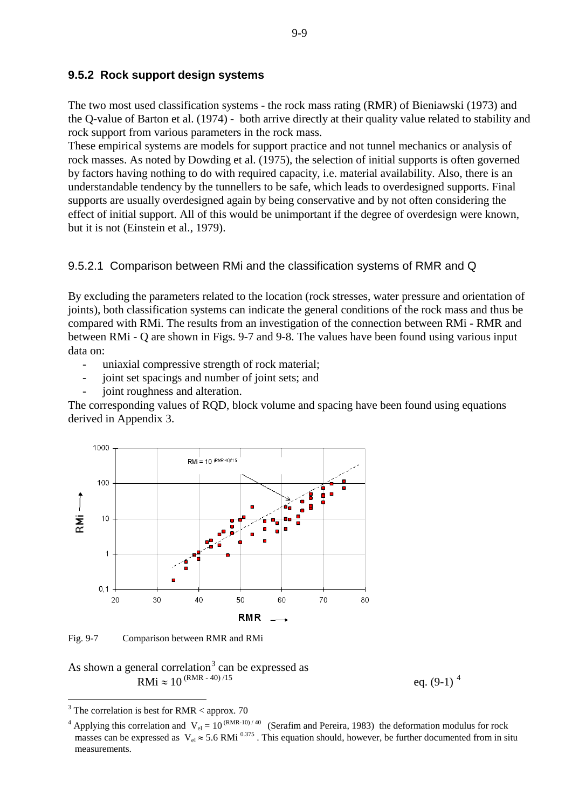#### **9.5.2 Rock support design systems**

The two most used classification systems - the rock mass rating (RMR) of Bieniawski (1973) and the Q-value of Barton et al. (1974) - both arrive directly at their quality value related to stability and rock support from various parameters in the rock mass.

These empirical systems are models for support practice and not tunnel mechanics or analysis of rock masses. As noted by Dowding et al. (1975), the selection of initial supports is often governed by factors having nothing to do with required capacity, i.e. material availability. Also, there is an understandable tendency by the tunnellers to be safe, which leads to overdesigned supports. Final supports are usually overdesigned again by being conservative and by not often considering the effect of initial support. All of this would be unimportant if the degree of overdesign were known, but it is not (Einstein et al., 1979).

#### 9.5.2.1 Comparison between RMi and the classification systems of RMR and Q

By excluding the parameters related to the location (rock stresses, water pressure and orientation of joints), both classification systems can indicate the general conditions of the rock mass and thus be compared with RMi. The results from an investigation of the connection between RMi - RMR and between RMi - Q are shown in Figs. 9-7 and 9-8. The values have been found using various input data on:

- uniaxial compressive strength of rock material;
- joint set spacings and number of joint sets; and
- joint roughness and alteration.

The corresponding values of RQD, block volume and spacing have been found using equations derived in Appendix 3.



Fig. 9-7 Comparison between RMR and RMi

As shown a general correlation<sup>[3](#page-8-0)</sup> can be expressed as  $RMi \approx 10^{(RMR - 40)/15}$ 

eq.  $(9-1)^4$  $(9-1)^4$ 

<span id="page-8-0"></span> <sup>3</sup> The correlation is best for RMR < approx. 70

<sup>&</sup>lt;sup>4</sup> Applying this correlation and  $V_{el} = 10^{(RMR-10)/40}$  (Serafim and Pereira, 1983) the deformation modulus for rock masses can be expressed as  $V_{el} \approx 5.6$  RMi  $^{0.375}$ . This equation should, however, be further documented from in situ measurements.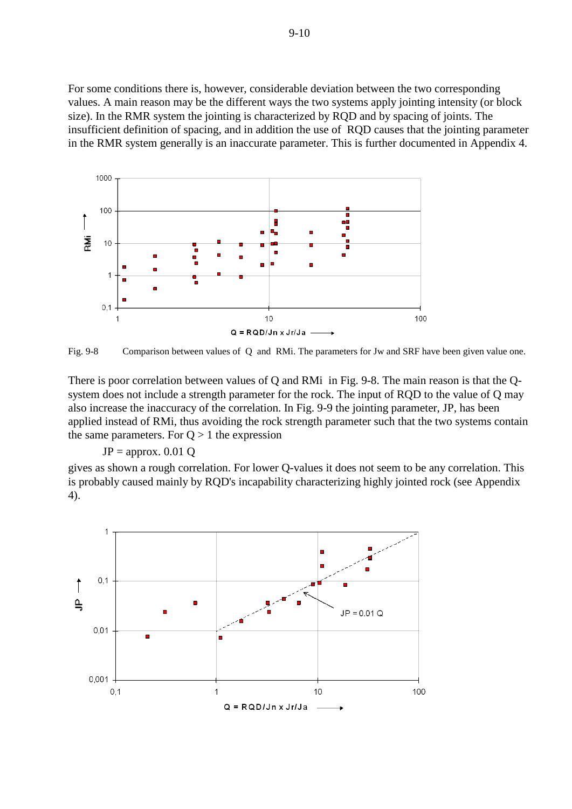For some conditions there is, however, considerable deviation between the two corresponding values. A main reason may be the different ways the two systems apply jointing intensity (or block size). In the RMR system the jointing is characterized by RQD and by spacing of joints. The insufficient definition of spacing, and in addition the use of RQD causes that the jointing parameter in the RMR system generally is an inaccurate parameter. This is further documented in Appendix 4.



Fig. 9-8 Comparison between values of Q and RMi. The parameters for Jw and SRF have been given value one.

There is poor correlation between values of Q and RMi in Fig. 9-8. The main reason is that the Qsystem does not include a strength parameter for the rock. The input of RQD to the value of Q may also increase the inaccuracy of the correlation. In Fig. 9-9 the jointing parameter, JP, has been applied instead of RMi, thus avoiding the rock strength parameter such that the two systems contain the same parameters. For  $Q > 1$  the expression

#### $JP =$  approx. 0.01 Q

gives as shown a rough correlation. For lower Q-values it does not seem to be any correlation. This is probably caused mainly by RQD's incapability characterizing highly jointed rock (see Appendix 4).

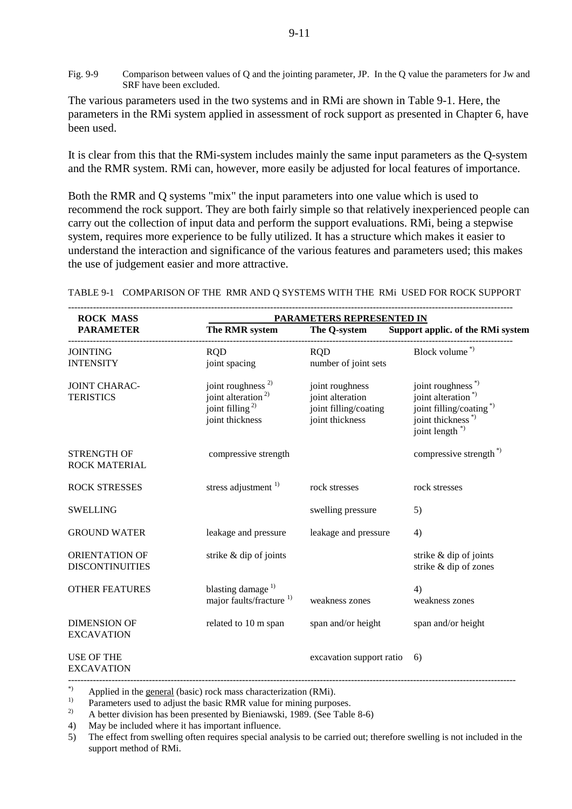Fig. 9-9 Comparison between values of Q and the jointing parameter, JP. In the Q value the parameters for Jw and SRF have been excluded.

The various parameters used in the two systems and in RMi are shown in Table 9-1. Here, the parameters in the RMi system applied in assessment of rock support as presented in Chapter 6, have been used.

It is clear from this that the RMi-system includes mainly the same input parameters as the Q-system and the RMR system. RMi can, however, more easily be adjusted for local features of importance.

Both the RMR and Q systems "mix" the input parameters into one value which is used to recommend the rock support. They are both fairly simple so that relatively inexperienced people can carry out the collection of input data and perform the support evaluations. RMi, being a stepwise system, requires more experience to be fully utilized. It has a structure which makes it easier to understand the interaction and significance of the various features and parameters used; this makes the use of judgement easier and more attractive.

----------------------------------------------------------------------------------------------------------------------------------------------- **ROCK MASS PARAMETERS REPRESENTED IN**<br> **PARAMETER** The RMR system The Q-system Support a  **PARAMETER The RMR system The Q-system Support applic. of the RMi system** ----------------------------------------------------------------------------------------------------------------------------------------------- JOINTING ROD ROD ROD Block volume \*) INTENSITY joint spacing number of joint sets JOINT CHARAC- joint roughness  $^{2}$  joint roughness ions is joint roughness  $^{*}$  TERISTICS ions alteration  $^{*}$  ions alteration  $^{*}$ TERISTICS joint alteration<sup>2)</sup> joint alteration  $\frac{1}{2}$  joint alteration  $\frac{1}{2}$  joint filling/coat joint filling/coating  $\frac{1}{2}$  joint filling/coating  $\frac{1}{2}$ joint thickness joint thickness joint thickness \*) joint length<sup>\*)</sup> STRENGTH OF compressive strength compressive strength compressive strength  $\phi$ <sup>\*</sup>) ROCK MATERIAL ROCK STRESSES stress adjustment 1) rock stresses rock stresses SWELLING swelling pressure 5) GROUND WATER leakage and pressure leakage and pressure 4) ORIENTATION OF strike & dip of joints strike & dip of joints DISCONTINUITIES strike & dip of zones OTHER FEATURES blasting damage  $^{1}$  4) major faults/fracture <sup>1)</sup> weakness zones weakness zones DIMENSION OF related to 10 m span span and/or height span and/or height EXCAVATION USE OF THE excavation support ratio 6) EXCAVATION ------------------------------------------------------------------------------------------------------------------------------------------------

TABLE 9-1 COMPARISON OF THE RMR AND Q SYSTEMS WITH THE RMi USED FOR ROCK SUPPORT

\*) Applied in the general (basic) rock mass characterization (RMi).

<sup>1)</sup> Parameters used to adjust the basic RMR value for mining purposes.<br><sup>2)</sup> A botter division has been presented by Pieniaughi 1080 (See Table

2) A better division has been presented by Bieniawski, 1989. (See Table 8-6)

4) May be included where it has important influence.

5) The effect from swelling often requires special analysis to be carried out; therefore swelling is not included in the support method of RMi.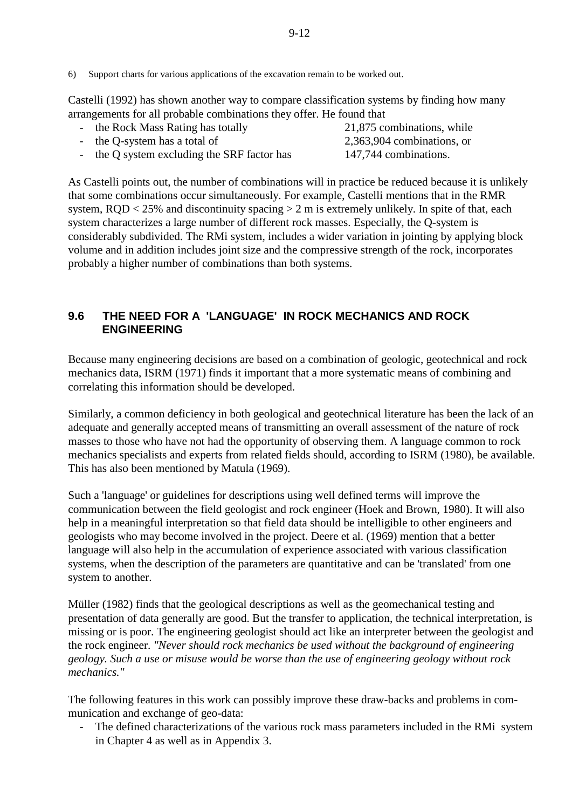Castelli (1992) has shown another way to compare classification systems by finding how many arrangements for all probable combinations they offer. He found that

- the Rock Mass Rating has totally 21,875 combinations, while - the Q-system has a total of 2,363,904 combinations, or - the Q system excluding the SRF factor has 147,744 combinations.

As Castelli points out, the number of combinations will in practice be reduced because it is unlikely that some combinations occur simultaneously. For example, Castelli mentions that in the RMR system,  $ROD < 25\%$  and discontinuity spacing  $> 2$  m is extremely unlikely. In spite of that, each system characterizes a large number of different rock masses. Especially, the Q-system is considerably subdivided. The RMi system, includes a wider variation in jointing by applying block volume and in addition includes joint size and the compressive strength of the rock, incorporates probably a higher number of combinations than both systems.

### **9.6 THE NEED FOR A 'LANGUAGE' IN ROCK MECHANICS AND ROCK ENGINEERING**

Because many engineering decisions are based on a combination of geologic, geotechnical and rock mechanics data, ISRM (1971) finds it important that a more systematic means of combining and correlating this information should be developed.

Similarly, a common deficiency in both geological and geotechnical literature has been the lack of an adequate and generally accepted means of transmitting an overall assessment of the nature of rock masses to those who have not had the opportunity of observing them. A language common to rock mechanics specialists and experts from related fields should, according to ISRM (1980), be available. This has also been mentioned by Matula (1969).

Such a 'language' or guidelines for descriptions using well defined terms will improve the communication between the field geologist and rock engineer (Hoek and Brown, 1980). It will also help in a meaningful interpretation so that field data should be intelligible to other engineers and geologists who may become involved in the project. Deere et al. (1969) mention that a better language will also help in the accumulation of experience associated with various classification systems, when the description of the parameters are quantitative and can be 'translated' from one system to another.

Müller (1982) finds that the geological descriptions as well as the geomechanical testing and presentation of data generally are good. But the transfer to application, the technical interpretation, is missing or is poor. The engineering geologist should act like an interpreter between the geologist and the rock engineer. *"Never should rock mechanics be used without the background of engineering geology. Such a use or misuse would be worse than the use of engineering geology without rock mechanics."*

The following features in this work can possibly improve these draw-backs and problems in communication and exchange of geo-data:

- The defined characterizations of the various rock mass parameters included in the RMi system in Chapter 4 as well as in Appendix 3.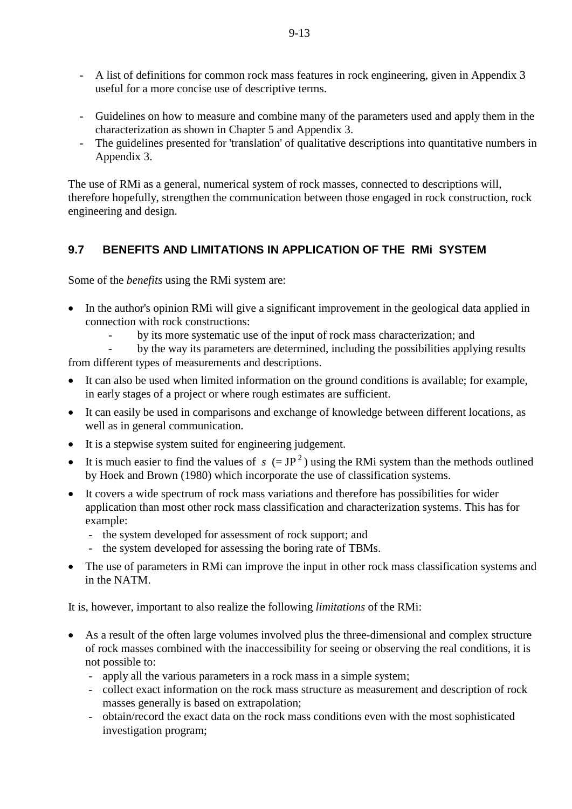- A list of definitions for common rock mass features in rock engineering, given in Appendix 3 useful for a more concise use of descriptive terms.
- Guidelines on how to measure and combine many of the parameters used and apply them in the characterization as shown in Chapter 5 and Appendix 3.
- The guidelines presented for 'translation' of qualitative descriptions into quantitative numbers in Appendix 3.

The use of RMi as a general, numerical system of rock masses, connected to descriptions will, therefore hopefully, strengthen the communication between those engaged in rock construction, rock engineering and design.

# **9.7 BENEFITS AND LIMITATIONS IN APPLICATION OF THE RMi SYSTEM**

Some of the *benefits* using the RMi system are:

- In the author's opinion RMi will give a significant improvement in the geological data applied in connection with rock constructions:
	- by its more systematic use of the input of rock mass characterization; and
- by the way its parameters are determined, including the possibilities applying results from different types of measurements and descriptions.
- It can also be used when limited information on the ground conditions is available; for example, in early stages of a project or where rough estimates are sufficient.
- It can easily be used in comparisons and exchange of knowledge between different locations, as well as in general communication.
- It is a stepwise system suited for engineering judgement.
- It is much easier to find the values of  $s (= JP^2)$  using the RMi system than the methods outlined by Hoek and Brown (1980) which incorporate the use of classification systems.
- It covers a wide spectrum of rock mass variations and therefore has possibilities for wider application than most other rock mass classification and characterization systems. This has for example:
	- the system developed for assessment of rock support; and
	- the system developed for assessing the boring rate of TBMs.
- The use of parameters in RMi can improve the input in other rock mass classification systems and in the NATM.

It is, however, important to also realize the following *limitations* of the RMi:

- As a result of the often large volumes involved plus the three-dimensional and complex structure of rock masses combined with the inaccessibility for seeing or observing the real conditions, it is not possible to:
	- apply all the various parameters in a rock mass in a simple system;
	- collect exact information on the rock mass structure as measurement and description of rock masses generally is based on extrapolation;
	- obtain/record the exact data on the rock mass conditions even with the most sophisticated investigation program;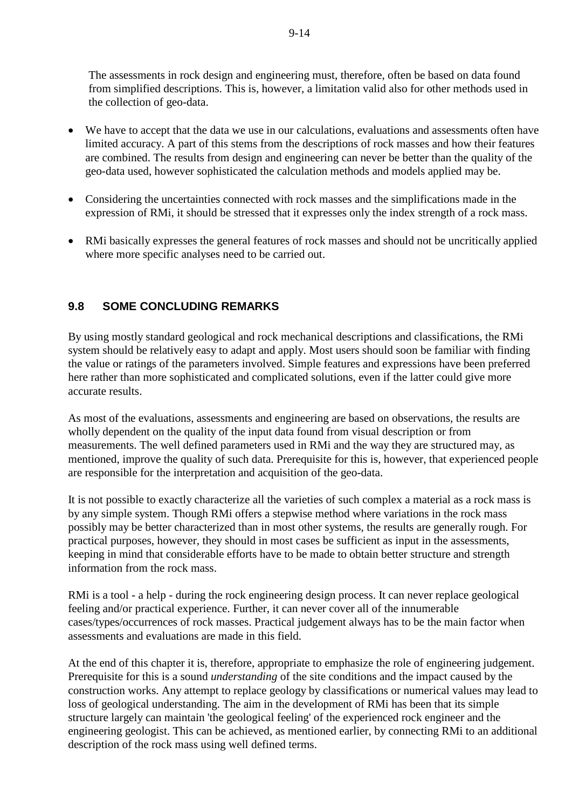The assessments in rock design and engineering must, therefore, often be based on data found from simplified descriptions. This is, however, a limitation valid also for other methods used in the collection of geo-data.

- We have to accept that the data we use in our calculations, evaluations and assessments often have limited accuracy. A part of this stems from the descriptions of rock masses and how their features are combined. The results from design and engineering can never be better than the quality of the geo-data used, however sophisticated the calculation methods and models applied may be.
- Considering the uncertainties connected with rock masses and the simplifications made in the expression of RMi, it should be stressed that it expresses only the index strength of a rock mass.
- RMi basically expresses the general features of rock masses and should not be uncritically applied where more specific analyses need to be carried out.

### **9.8 SOME CONCLUDING REMARKS**

By using mostly standard geological and rock mechanical descriptions and classifications, the RMi system should be relatively easy to adapt and apply. Most users should soon be familiar with finding the value or ratings of the parameters involved. Simple features and expressions have been preferred here rather than more sophisticated and complicated solutions, even if the latter could give more accurate results.

As most of the evaluations, assessments and engineering are based on observations, the results are wholly dependent on the quality of the input data found from visual description or from measurements. The well defined parameters used in RMi and the way they are structured may, as mentioned, improve the quality of such data. Prerequisite for this is, however, that experienced people are responsible for the interpretation and acquisition of the geo-data.

It is not possible to exactly characterize all the varieties of such complex a material as a rock mass is by any simple system. Though RMi offers a stepwise method where variations in the rock mass possibly may be better characterized than in most other systems, the results are generally rough. For practical purposes, however, they should in most cases be sufficient as input in the assessments, keeping in mind that considerable efforts have to be made to obtain better structure and strength information from the rock mass.

RMi is a tool - a help - during the rock engineering design process. It can never replace geological feeling and/or practical experience. Further, it can never cover all of the innumerable cases/types/occurrences of rock masses. Practical judgement always has to be the main factor when assessments and evaluations are made in this field.

At the end of this chapter it is, therefore, appropriate to emphasize the role of engineering judgement. Prerequisite for this is a sound *understanding* of the site conditions and the impact caused by the construction works. Any attempt to replace geology by classifications or numerical values may lead to loss of geological understanding. The aim in the development of RMi has been that its simple structure largely can maintain 'the geological feeling' of the experienced rock engineer and the engineering geologist. This can be achieved, as mentioned earlier, by connecting RMi to an additional description of the rock mass using well defined terms.